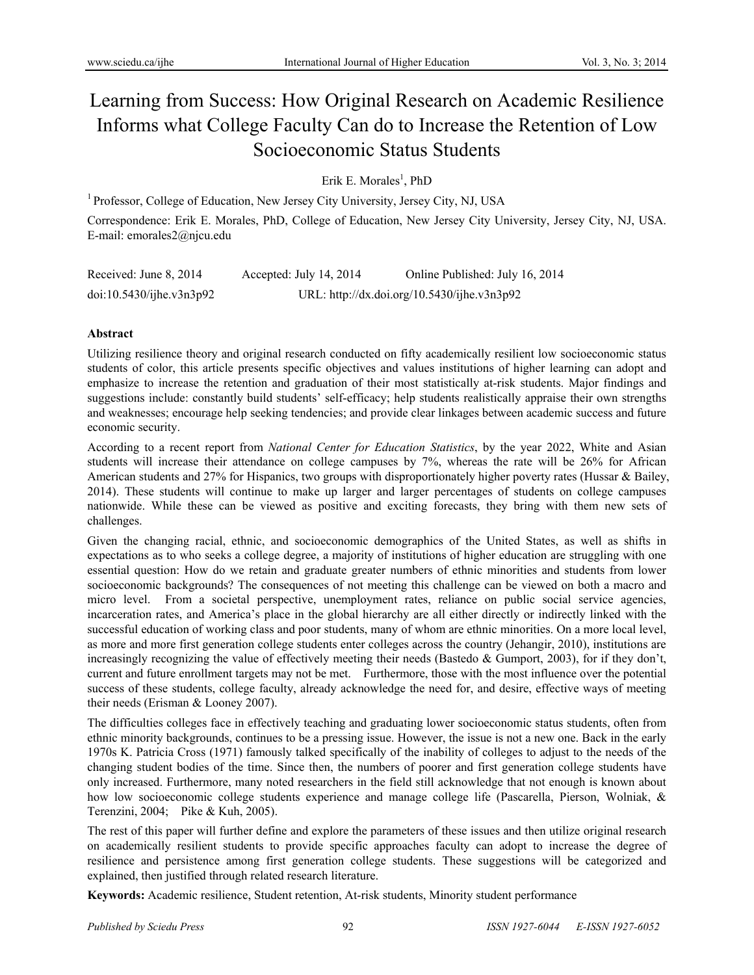# Learning from Success: How Original Research on Academic Resilience Informs what College Faculty Can do to Increase the Retention of Low Socioeconomic Status Students

Erik E. Morales<sup>1</sup>, PhD

<sup>1</sup> Professor, College of Education, New Jersey City University, Jersey City, NJ, USA

Correspondence: Erik E. Morales, PhD, College of Education, New Jersey City University, Jersey City, NJ, USA. E-mail: emorales2@njcu.edu

| Received: June 8, 2014   | Accepted: July 14, 2014                     | Online Published: July 16, 2014 |
|--------------------------|---------------------------------------------|---------------------------------|
| doi:10.5430/ijhe.v3n3p92 | URL: http://dx.doi.org/10.5430/ijhe.v3n3p92 |                                 |

#### **Abstract**

Utilizing resilience theory and original research conducted on fifty academically resilient low socioeconomic status students of color, this article presents specific objectives and values institutions of higher learning can adopt and emphasize to increase the retention and graduation of their most statistically at-risk students. Major findings and suggestions include: constantly build students' self-efficacy; help students realistically appraise their own strengths and weaknesses; encourage help seeking tendencies; and provide clear linkages between academic success and future economic security.

According to a recent report from *National Center for Education Statistics*, by the year 2022, White and Asian students will increase their attendance on college campuses by 7%, whereas the rate will be 26% for African American students and 27% for Hispanics, two groups with disproportionately higher poverty rates (Hussar & Bailey, 2014). These students will continue to make up larger and larger percentages of students on college campuses nationwide. While these can be viewed as positive and exciting forecasts, they bring with them new sets of challenges.

Given the changing racial, ethnic, and socioeconomic demographics of the United States, as well as shifts in expectations as to who seeks a college degree, a majority of institutions of higher education are struggling with one essential question: How do we retain and graduate greater numbers of ethnic minorities and students from lower socioeconomic backgrounds? The consequences of not meeting this challenge can be viewed on both a macro and micro level. From a societal perspective, unemployment rates, reliance on public social service agencies, incarceration rates, and America's place in the global hierarchy are all either directly or indirectly linked with the successful education of working class and poor students, many of whom are ethnic minorities. On a more local level, as more and more first generation college students enter colleges across the country (Jehangir, 2010), institutions are increasingly recognizing the value of effectively meeting their needs (Bastedo & Gumport, 2003), for if they don't, current and future enrollment targets may not be met. Furthermore, those with the most influence over the potential success of these students, college faculty, already acknowledge the need for, and desire, effective ways of meeting their needs (Erisman & Looney 2007).

The difficulties colleges face in effectively teaching and graduating lower socioeconomic status students, often from ethnic minority backgrounds, continues to be a pressing issue. However, the issue is not a new one. Back in the early 1970s K. Patricia Cross (1971) famously talked specifically of the inability of colleges to adjust to the needs of the changing student bodies of the time. Since then, the numbers of poorer and first generation college students have only increased. Furthermore, many noted researchers in the field still acknowledge that not enough is known about how low socioeconomic college students experience and manage college life (Pascarella, Pierson, Wolniak, & Terenzini, 2004; Pike & Kuh, 2005).

The rest of this paper will further define and explore the parameters of these issues and then utilize original research on academically resilient students to provide specific approaches faculty can adopt to increase the degree of resilience and persistence among first generation college students. These suggestions will be categorized and explained, then justified through related research literature.

**Keywords:** Academic resilience, Student retention, At-risk students, Minority student performance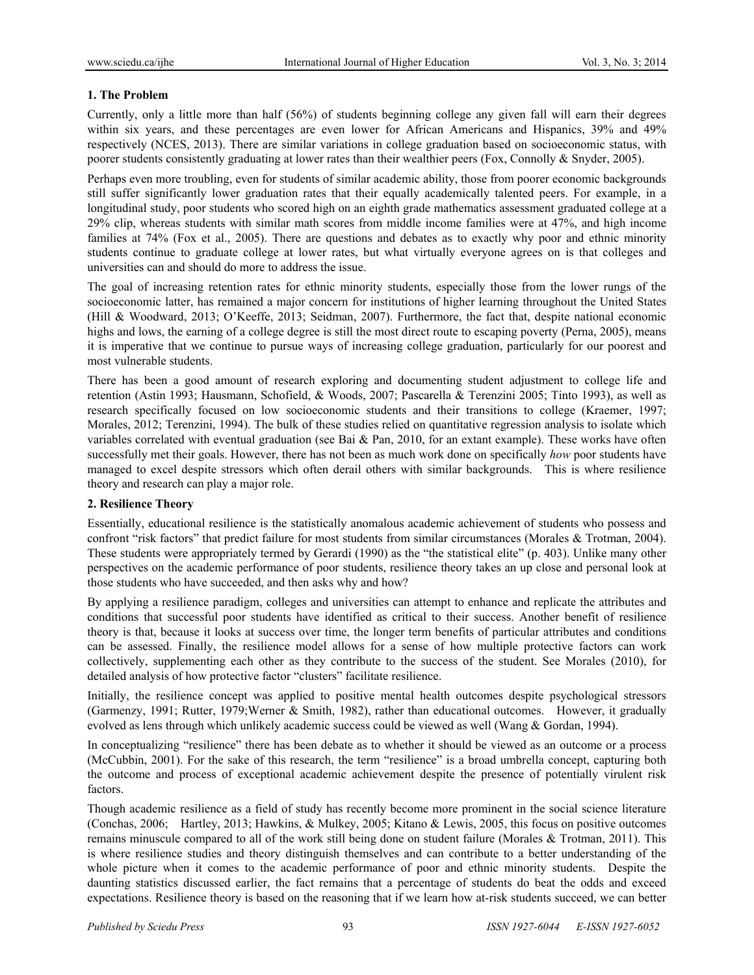## **1. The Problem**

Currently, only a little more than half (56%) of students beginning college any given fall will earn their degrees within six years, and these percentages are even lower for African Americans and Hispanics, 39% and 49% respectively (NCES, 2013). There are similar variations in college graduation based on socioeconomic status, with poorer students consistently graduating at lower rates than their wealthier peers (Fox, Connolly & Snyder, 2005).

Perhaps even more troubling, even for students of similar academic ability, those from poorer economic backgrounds still suffer significantly lower graduation rates that their equally academically talented peers. For example, in a longitudinal study, poor students who scored high on an eighth grade mathematics assessment graduated college at a 29% clip, whereas students with similar math scores from middle income families were at 47%, and high income families at 74% (Fox et al., 2005). There are questions and debates as to exactly why poor and ethnic minority students continue to graduate college at lower rates, but what virtually everyone agrees on is that colleges and universities can and should do more to address the issue.

The goal of increasing retention rates for ethnic minority students, especially those from the lower rungs of the socioeconomic latter, has remained a major concern for institutions of higher learning throughout the United States (Hill & Woodward, 2013; O'Keeffe, 2013; Seidman, 2007). Furthermore, the fact that, despite national economic highs and lows, the earning of a college degree is still the most direct route to escaping poverty (Perna, 2005), means it is imperative that we continue to pursue ways of increasing college graduation, particularly for our poorest and most vulnerable students.

There has been a good amount of research exploring and documenting student adjustment to college life and retention (Astin 1993; Hausmann, Schofield, & Woods, 2007; Pascarella & Terenzini 2005; Tinto 1993), as well as research specifically focused on low socioeconomic students and their transitions to college (Kraemer, 1997; Morales, 2012; Terenzini, 1994). The bulk of these studies relied on quantitative regression analysis to isolate which variables correlated with eventual graduation (see Bai & Pan, 2010, for an extant example). These works have often successfully met their goals. However, there has not been as much work done on specifically *how* poor students have managed to excel despite stressors which often derail others with similar backgrounds. This is where resilience theory and research can play a major role.

#### **2. Resilience Theory**

Essentially, educational resilience is the statistically anomalous academic achievement of students who possess and confront "risk factors" that predict failure for most students from similar circumstances (Morales & Trotman, 2004). These students were appropriately termed by Gerardi (1990) as the "the statistical elite" (p. 403). Unlike many other perspectives on the academic performance of poor students, resilience theory takes an up close and personal look at those students who have succeeded, and then asks why and how?

By applying a resilience paradigm, colleges and universities can attempt to enhance and replicate the attributes and conditions that successful poor students have identified as critical to their success. Another benefit of resilience theory is that, because it looks at success over time, the longer term benefits of particular attributes and conditions can be assessed. Finally, the resilience model allows for a sense of how multiple protective factors can work collectively, supplementing each other as they contribute to the success of the student. See Morales (2010), for detailed analysis of how protective factor "clusters" facilitate resilience.

Initially, the resilience concept was applied to positive mental health outcomes despite psychological stressors (Garmenzy, 1991; Rutter, 1979;Werner & Smith, 1982), rather than educational outcomes. However, it gradually evolved as lens through which unlikely academic success could be viewed as well (Wang & Gordan, 1994).

In conceptualizing "resilience" there has been debate as to whether it should be viewed as an outcome or a process (McCubbin, 2001). For the sake of this research, the term "resilience" is a broad umbrella concept, capturing both the outcome and process of exceptional academic achievement despite the presence of potentially virulent risk factors.

Though academic resilience as a field of study has recently become more prominent in the social science literature (Conchas, 2006; Hartley, 2013; Hawkins, & Mulkey, 2005; Kitano & Lewis, 2005, this focus on positive outcomes remains minuscule compared to all of the work still being done on student failure (Morales & Trotman, 2011). This is where resilience studies and theory distinguish themselves and can contribute to a better understanding of the whole picture when it comes to the academic performance of poor and ethnic minority students. Despite the daunting statistics discussed earlier, the fact remains that a percentage of students do beat the odds and exceed expectations. Resilience theory is based on the reasoning that if we learn how at-risk students succeed, we can better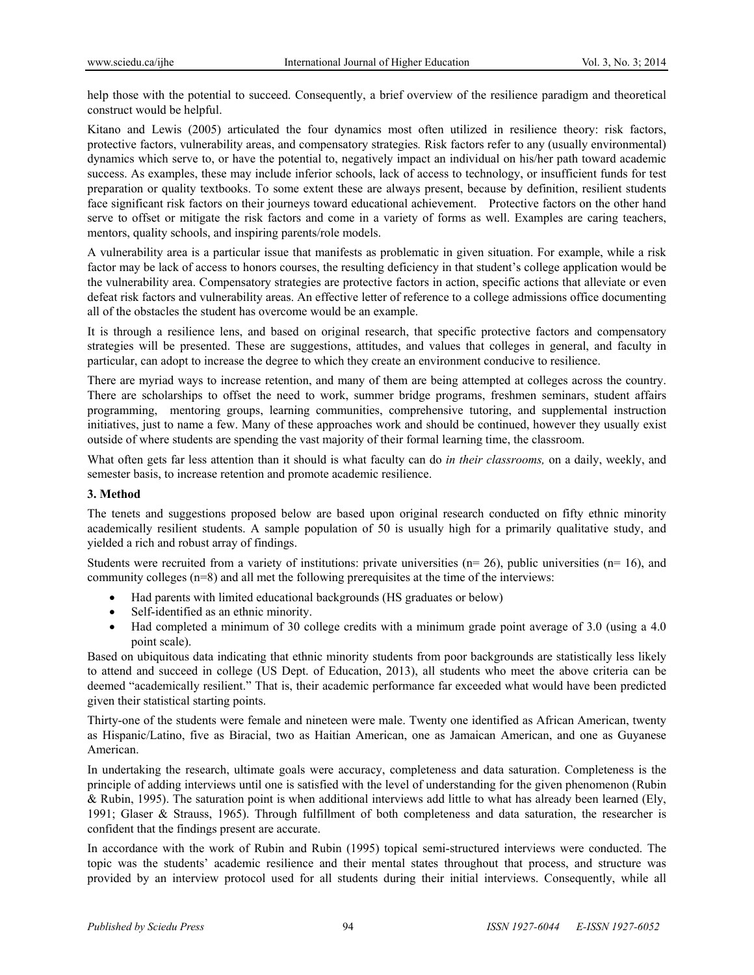help those with the potential to succeed. Consequently, a brief overview of the resilience paradigm and theoretical construct would be helpful.

Kitano and Lewis (2005) articulated the four dynamics most often utilized in resilience theory: risk factors, protective factors, vulnerability areas, and compensatory strategies*.* Risk factors refer to any (usually environmental) dynamics which serve to, or have the potential to, negatively impact an individual on his/her path toward academic success. As examples, these may include inferior schools, lack of access to technology, or insufficient funds for test preparation or quality textbooks. To some extent these are always present, because by definition, resilient students face significant risk factors on their journeys toward educational achievement. Protective factors on the other hand serve to offset or mitigate the risk factors and come in a variety of forms as well. Examples are caring teachers, mentors, quality schools, and inspiring parents/role models.

A vulnerability area is a particular issue that manifests as problematic in given situation. For example, while a risk factor may be lack of access to honors courses, the resulting deficiency in that student's college application would be the vulnerability area. Compensatory strategies are protective factors in action, specific actions that alleviate or even defeat risk factors and vulnerability areas. An effective letter of reference to a college admissions office documenting all of the obstacles the student has overcome would be an example.

It is through a resilience lens, and based on original research, that specific protective factors and compensatory strategies will be presented. These are suggestions, attitudes, and values that colleges in general, and faculty in particular, can adopt to increase the degree to which they create an environment conducive to resilience.

There are myriad ways to increase retention, and many of them are being attempted at colleges across the country. There are scholarships to offset the need to work, summer bridge programs, freshmen seminars, student affairs programming, mentoring groups, learning communities, comprehensive tutoring, and supplemental instruction initiatives, just to name a few. Many of these approaches work and should be continued, however they usually exist outside of where students are spending the vast majority of their formal learning time, the classroom.

What often gets far less attention than it should is what faculty can do *in their classrooms,* on a daily, weekly, and semester basis, to increase retention and promote academic resilience.

#### **3. Method**

The tenets and suggestions proposed below are based upon original research conducted on fifty ethnic minority academically resilient students. A sample population of 50 is usually high for a primarily qualitative study, and yielded a rich and robust array of findings.

Students were recruited from a variety of institutions: private universities ( $n= 26$ ), public universities ( $n= 16$ ), and community colleges (n=8) and all met the following prerequisites at the time of the interviews:

- Had parents with limited educational backgrounds (HS graduates or below)
- Self-identified as an ethnic minority.
- Had completed a minimum of 30 college credits with a minimum grade point average of 3.0 (using a 4.0 point scale).

Based on ubiquitous data indicating that ethnic minority students from poor backgrounds are statistically less likely to attend and succeed in college (US Dept. of Education, 2013), all students who meet the above criteria can be deemed "academically resilient." That is, their academic performance far exceeded what would have been predicted given their statistical starting points.

Thirty-one of the students were female and nineteen were male. Twenty one identified as African American, twenty as Hispanic/Latino, five as Biracial, two as Haitian American, one as Jamaican American, and one as Guyanese American.

In undertaking the research, ultimate goals were accuracy, completeness and data saturation. Completeness is the principle of adding interviews until one is satisfied with the level of understanding for the given phenomenon (Rubin & Rubin, 1995). The saturation point is when additional interviews add little to what has already been learned (Ely, 1991; Glaser & Strauss, 1965). Through fulfillment of both completeness and data saturation, the researcher is confident that the findings present are accurate.

In accordance with the work of Rubin and Rubin (1995) topical semi-structured interviews were conducted. The topic was the students' academic resilience and their mental states throughout that process, and structure was provided by an interview protocol used for all students during their initial interviews. Consequently, while all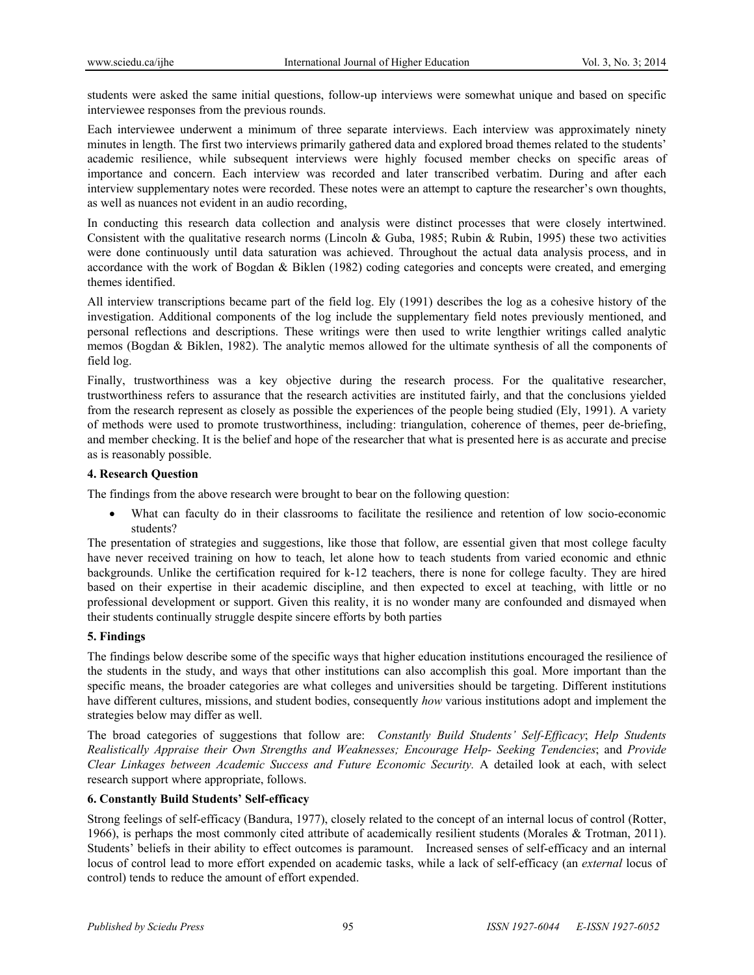students were asked the same initial questions, follow-up interviews were somewhat unique and based on specific interviewee responses from the previous rounds.

Each interviewee underwent a minimum of three separate interviews. Each interview was approximately ninety minutes in length. The first two interviews primarily gathered data and explored broad themes related to the students' academic resilience, while subsequent interviews were highly focused member checks on specific areas of importance and concern. Each interview was recorded and later transcribed verbatim. During and after each interview supplementary notes were recorded. These notes were an attempt to capture the researcher's own thoughts, as well as nuances not evident in an audio recording,

In conducting this research data collection and analysis were distinct processes that were closely intertwined. Consistent with the qualitative research norms (Lincoln & Guba, 1985; Rubin & Rubin, 1995) these two activities were done continuously until data saturation was achieved. Throughout the actual data analysis process, and in accordance with the work of Bogdan & Biklen (1982) coding categories and concepts were created, and emerging themes identified.

All interview transcriptions became part of the field log. Ely (1991) describes the log as a cohesive history of the investigation. Additional components of the log include the supplementary field notes previously mentioned, and personal reflections and descriptions. These writings were then used to write lengthier writings called analytic memos (Bogdan & Biklen, 1982). The analytic memos allowed for the ultimate synthesis of all the components of field log.

Finally, trustworthiness was a key objective during the research process. For the qualitative researcher, trustworthiness refers to assurance that the research activities are instituted fairly, and that the conclusions yielded from the research represent as closely as possible the experiences of the people being studied (Ely, 1991). A variety of methods were used to promote trustworthiness, including: triangulation, coherence of themes, peer de-briefing, and member checking. It is the belief and hope of the researcher that what is presented here is as accurate and precise as is reasonably possible.

#### **4. Research Question**

The findings from the above research were brought to bear on the following question:

 What can faculty do in their classrooms to facilitate the resilience and retention of low socio-economic students?

The presentation of strategies and suggestions, like those that follow, are essential given that most college faculty have never received training on how to teach, let alone how to teach students from varied economic and ethnic backgrounds. Unlike the certification required for k-12 teachers, there is none for college faculty. They are hired based on their expertise in their academic discipline, and then expected to excel at teaching, with little or no professional development or support. Given this reality, it is no wonder many are confounded and dismayed when their students continually struggle despite sincere efforts by both parties

#### **5. Findings**

The findings below describe some of the specific ways that higher education institutions encouraged the resilience of the students in the study, and ways that other institutions can also accomplish this goal. More important than the specific means, the broader categories are what colleges and universities should be targeting. Different institutions have different cultures, missions, and student bodies, consequently *how* various institutions adopt and implement the strategies below may differ as well.

The broad categories of suggestions that follow are: *Constantly Build Students' Self-Efficacy*; *Help Students Realistically Appraise their Own Strengths and Weaknesses; Encourage Help- Seeking Tendencies*; and *Provide Clear Linkages between Academic Success and Future Economic Security.* A detailed look at each, with select research support where appropriate, follows.

#### **6. Constantly Build Students' Self-efficacy**

Strong feelings of self-efficacy (Bandura, 1977), closely related to the concept of an internal locus of control (Rotter, 1966), is perhaps the most commonly cited attribute of academically resilient students (Morales & Trotman, 2011). Students' beliefs in their ability to effect outcomes is paramount. Increased senses of self-efficacy and an internal locus of control lead to more effort expended on academic tasks, while a lack of self-efficacy (an *external* locus of control) tends to reduce the amount of effort expended.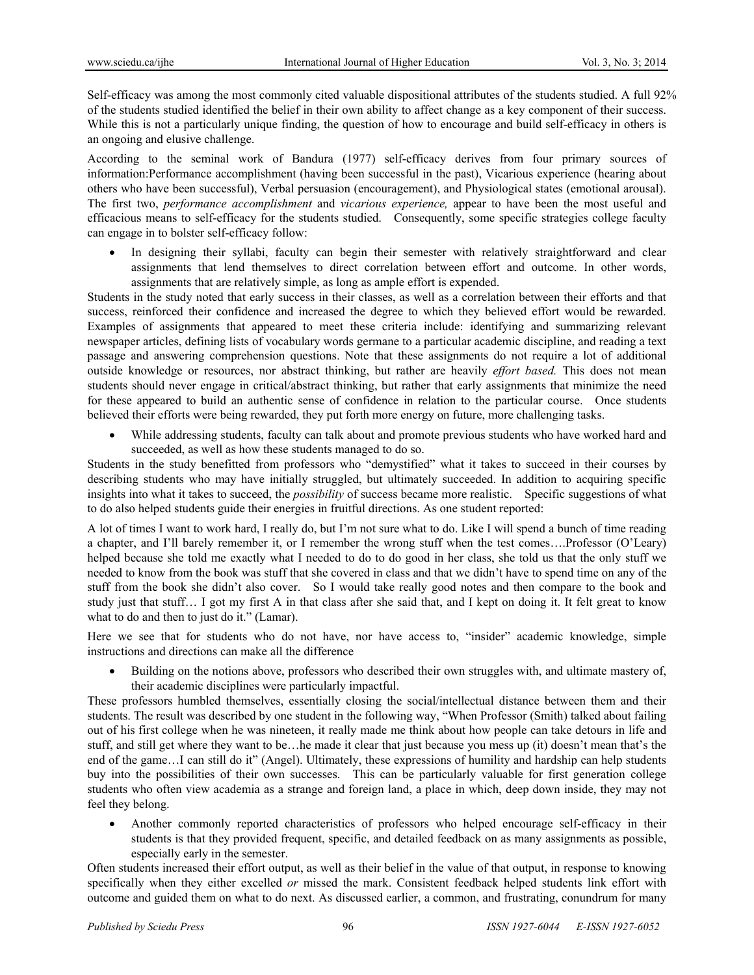Self-efficacy was among the most commonly cited valuable dispositional attributes of the students studied. A full 92% of the students studied identified the belief in their own ability to affect change as a key component of their success. While this is not a particularly unique finding, the question of how to encourage and build self-efficacy in others is an ongoing and elusive challenge.

According to the seminal work of Bandura (1977) self-efficacy derives from four primary sources of information:Performance accomplishment (having been successful in the past), Vicarious experience (hearing about others who have been successful), Verbal persuasion (encouragement), and Physiological states (emotional arousal). The first two, *performance accomplishment* and *vicarious experience,* appear to have been the most useful and efficacious means to self-efficacy for the students studied. Consequently, some specific strategies college faculty can engage in to bolster self-efficacy follow:

 In designing their syllabi, faculty can begin their semester with relatively straightforward and clear assignments that lend themselves to direct correlation between effort and outcome. In other words, assignments that are relatively simple, as long as ample effort is expended.

Students in the study noted that early success in their classes, as well as a correlation between their efforts and that success, reinforced their confidence and increased the degree to which they believed effort would be rewarded. Examples of assignments that appeared to meet these criteria include: identifying and summarizing relevant newspaper articles, defining lists of vocabulary words germane to a particular academic discipline, and reading a text passage and answering comprehension questions. Note that these assignments do not require a lot of additional outside knowledge or resources, nor abstract thinking, but rather are heavily *effort based.* This does not mean students should never engage in critical/abstract thinking, but rather that early assignments that minimize the need for these appeared to build an authentic sense of confidence in relation to the particular course. Once students believed their efforts were being rewarded, they put forth more energy on future, more challenging tasks.

 While addressing students, faculty can talk about and promote previous students who have worked hard and succeeded, as well as how these students managed to do so.

Students in the study benefitted from professors who "demystified" what it takes to succeed in their courses by describing students who may have initially struggled, but ultimately succeeded. In addition to acquiring specific insights into what it takes to succeed, the *possibility* of success became more realistic. Specific suggestions of what to do also helped students guide their energies in fruitful directions. As one student reported:

A lot of times I want to work hard, I really do, but I'm not sure what to do. Like I will spend a bunch of time reading a chapter, and I'll barely remember it, or I remember the wrong stuff when the test comes….Professor (O'Leary) helped because she told me exactly what I needed to do to do good in her class, she told us that the only stuff we needed to know from the book was stuff that she covered in class and that we didn't have to spend time on any of the stuff from the book she didn't also cover. So I would take really good notes and then compare to the book and study just that stuff… I got my first A in that class after she said that, and I kept on doing it. It felt great to know what to do and then to just do it." (Lamar).

Here we see that for students who do not have, nor have access to, "insider" academic knowledge, simple instructions and directions can make all the difference

 Building on the notions above, professors who described their own struggles with, and ultimate mastery of, their academic disciplines were particularly impactful.

These professors humbled themselves, essentially closing the social/intellectual distance between them and their students. The result was described by one student in the following way, "When Professor (Smith) talked about failing out of his first college when he was nineteen, it really made me think about how people can take detours in life and stuff, and still get where they want to be…he made it clear that just because you mess up (it) doesn't mean that's the end of the game…I can still do it" (Angel). Ultimately, these expressions of humility and hardship can help students buy into the possibilities of their own successes. This can be particularly valuable for first generation college students who often view academia as a strange and foreign land, a place in which, deep down inside, they may not feel they belong.

 Another commonly reported characteristics of professors who helped encourage self-efficacy in their students is that they provided frequent, specific, and detailed feedback on as many assignments as possible, especially early in the semester.

Often students increased their effort output, as well as their belief in the value of that output, in response to knowing specifically when they either excelled *or* missed the mark. Consistent feedback helped students link effort with outcome and guided them on what to do next. As discussed earlier, a common, and frustrating, conundrum for many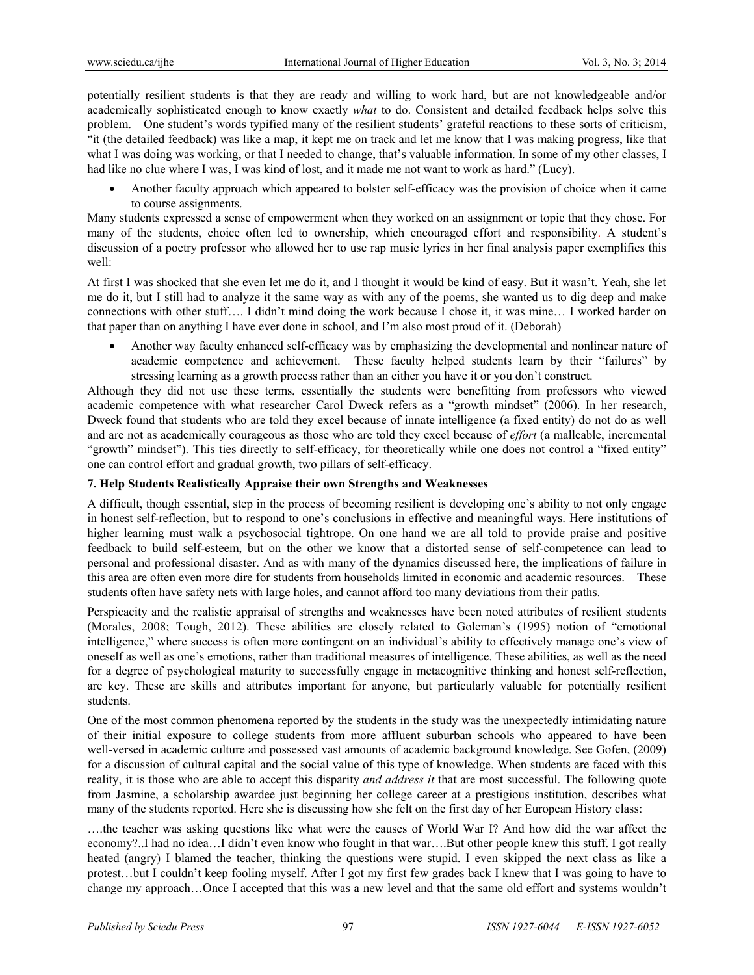potentially resilient students is that they are ready and willing to work hard, but are not knowledgeable and/or academically sophisticated enough to know exactly *what* to do. Consistent and detailed feedback helps solve this problem. One student's words typified many of the resilient students' grateful reactions to these sorts of criticism, "it (the detailed feedback) was like a map, it kept me on track and let me know that I was making progress, like that what I was doing was working, or that I needed to change, that's valuable information. In some of my other classes, I had like no clue where I was, I was kind of lost, and it made me not want to work as hard." (Lucy).

 Another faculty approach which appeared to bolster self-efficacy was the provision of choice when it came to course assignments.

Many students expressed a sense of empowerment when they worked on an assignment or topic that they chose. For many of the students, choice often led to ownership, which encouraged effort and responsibility. A student's discussion of a poetry professor who allowed her to use rap music lyrics in her final analysis paper exemplifies this well:

At first I was shocked that she even let me do it, and I thought it would be kind of easy. But it wasn't. Yeah, she let me do it, but I still had to analyze it the same way as with any of the poems, she wanted us to dig deep and make connections with other stuff…. I didn't mind doing the work because I chose it, it was mine… I worked harder on that paper than on anything I have ever done in school, and I'm also most proud of it. (Deborah)

 Another way faculty enhanced self-efficacy was by emphasizing the developmental and nonlinear nature of academic competence and achievement. These faculty helped students learn by their "failures" by stressing learning as a growth process rather than an either you have it or you don't construct.

Although they did not use these terms, essentially the students were benefitting from professors who viewed academic competence with what researcher Carol Dweck refers as a "growth mindset" (2006). In her research, Dweck found that students who are told they excel because of innate intelligence (a fixed entity) do not do as well and are not as academically courageous as those who are told they excel because of *effort* (a malleable, incremental "growth" mindset"). This ties directly to self-efficacy, for theoretically while one does not control a "fixed entity" one can control effort and gradual growth, two pillars of self-efficacy.

## **7. Help Students Realistically Appraise their own Strengths and Weaknesses**

A difficult, though essential, step in the process of becoming resilient is developing one's ability to not only engage in honest self-reflection, but to respond to one's conclusions in effective and meaningful ways. Here institutions of higher learning must walk a psychosocial tightrope. On one hand we are all told to provide praise and positive feedback to build self-esteem, but on the other we know that a distorted sense of self-competence can lead to personal and professional disaster. And as with many of the dynamics discussed here, the implications of failure in this area are often even more dire for students from households limited in economic and academic resources. These students often have safety nets with large holes, and cannot afford too many deviations from their paths.

Perspicacity and the realistic appraisal of strengths and weaknesses have been noted attributes of resilient students (Morales, 2008; Tough, 2012). These abilities are closely related to Goleman's (1995) notion of "emotional intelligence," where success is often more contingent on an individual's ability to effectively manage one's view of oneself as well as one's emotions, rather than traditional measures of intelligence. These abilities, as well as the need for a degree of psychological maturity to successfully engage in metacognitive thinking and honest self-reflection, are key. These are skills and attributes important for anyone, but particularly valuable for potentially resilient students.

One of the most common phenomena reported by the students in the study was the unexpectedly intimidating nature of their initial exposure to college students from more affluent suburban schools who appeared to have been well-versed in academic culture and possessed vast amounts of academic background knowledge. See Gofen, (2009) for a discussion of cultural capital and the social value of this type of knowledge. When students are faced with this reality, it is those who are able to accept this disparity *and address it* that are most successful. The following quote from Jasmine, a scholarship awardee just beginning her college career at a prestigious institution, describes what many of the students reported. Here she is discussing how she felt on the first day of her European History class:

….the teacher was asking questions like what were the causes of World War I? And how did the war affect the economy?..I had no idea…I didn't even know who fought in that war….But other people knew this stuff. I got really heated (angry) I blamed the teacher, thinking the questions were stupid. I even skipped the next class as like a protest…but I couldn't keep fooling myself. After I got my first few grades back I knew that I was going to have to change my approach…Once I accepted that this was a new level and that the same old effort and systems wouldn't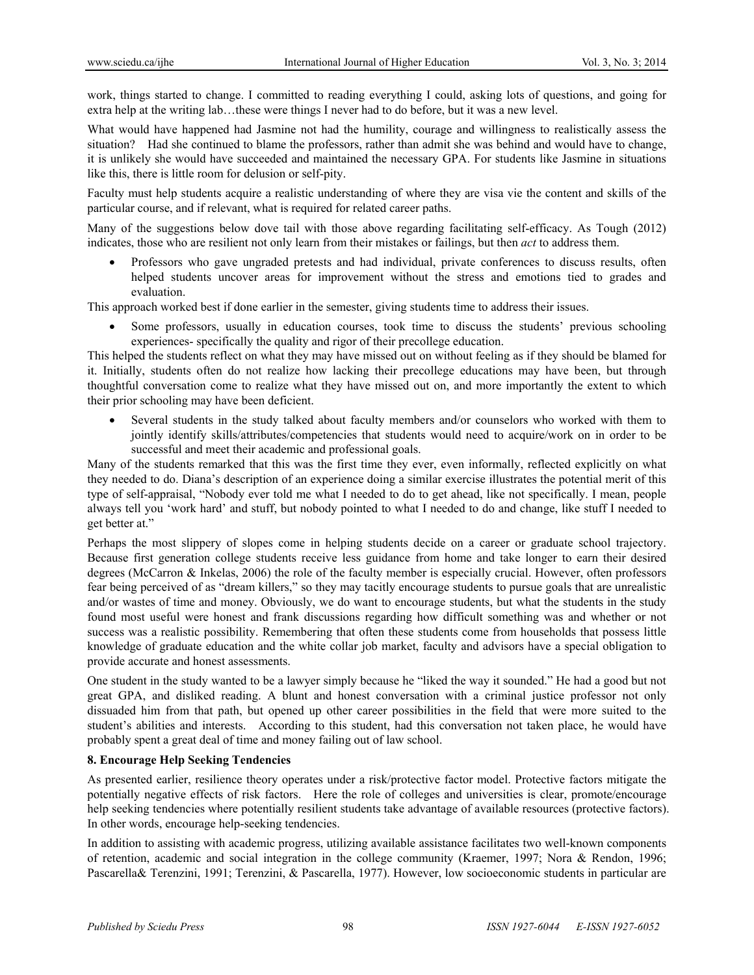work, things started to change. I committed to reading everything I could, asking lots of questions, and going for extra help at the writing lab…these were things I never had to do before, but it was a new level.

What would have happened had Jasmine not had the humility, courage and willingness to realistically assess the situation? Had she continued to blame the professors, rather than admit she was behind and would have to change, it is unlikely she would have succeeded and maintained the necessary GPA. For students like Jasmine in situations like this, there is little room for delusion or self-pity.

Faculty must help students acquire a realistic understanding of where they are visa vie the content and skills of the particular course, and if relevant, what is required for related career paths.

Many of the suggestions below dove tail with those above regarding facilitating self-efficacy. As Tough (2012) indicates, those who are resilient not only learn from their mistakes or failings, but then *act* to address them.

 Professors who gave ungraded pretests and had individual, private conferences to discuss results, often helped students uncover areas for improvement without the stress and emotions tied to grades and evaluation.

This approach worked best if done earlier in the semester, giving students time to address their issues.

 Some professors, usually in education courses, took time to discuss the students' previous schooling experiences- specifically the quality and rigor of their precollege education.

This helped the students reflect on what they may have missed out on without feeling as if they should be blamed for it. Initially, students often do not realize how lacking their precollege educations may have been, but through thoughtful conversation come to realize what they have missed out on, and more importantly the extent to which their prior schooling may have been deficient.

 Several students in the study talked about faculty members and/or counselors who worked with them to jointly identify skills/attributes/competencies that students would need to acquire/work on in order to be successful and meet their academic and professional goals.

Many of the students remarked that this was the first time they ever, even informally, reflected explicitly on what they needed to do. Diana's description of an experience doing a similar exercise illustrates the potential merit of this type of self-appraisal, "Nobody ever told me what I needed to do to get ahead, like not specifically. I mean, people always tell you 'work hard' and stuff, but nobody pointed to what I needed to do and change, like stuff I needed to get better at."

Perhaps the most slippery of slopes come in helping students decide on a career or graduate school trajectory. Because first generation college students receive less guidance from home and take longer to earn their desired degrees (McCarron & Inkelas, 2006) the role of the faculty member is especially crucial. However, often professors fear being perceived of as "dream killers," so they may tacitly encourage students to pursue goals that are unrealistic and/or wastes of time and money. Obviously, we do want to encourage students, but what the students in the study found most useful were honest and frank discussions regarding how difficult something was and whether or not success was a realistic possibility. Remembering that often these students come from households that possess little knowledge of graduate education and the white collar job market, faculty and advisors have a special obligation to provide accurate and honest assessments.

One student in the study wanted to be a lawyer simply because he "liked the way it sounded." He had a good but not great GPA, and disliked reading. A blunt and honest conversation with a criminal justice professor not only dissuaded him from that path, but opened up other career possibilities in the field that were more suited to the student's abilities and interests. According to this student, had this conversation not taken place, he would have probably spent a great deal of time and money failing out of law school.

#### **8. Encourage Help Seeking Tendencies**

As presented earlier, resilience theory operates under a risk/protective factor model. Protective factors mitigate the potentially negative effects of risk factors. Here the role of colleges and universities is clear, promote/encourage help seeking tendencies where potentially resilient students take advantage of available resources (protective factors). In other words, encourage help-seeking tendencies.

In addition to assisting with academic progress, utilizing available assistance facilitates two well-known components of retention, academic and social integration in the college community (Kraemer, 1997; Nora & Rendon, 1996; Pascarella& Terenzini, 1991; Terenzini, & Pascarella, 1977). However, low socioeconomic students in particular are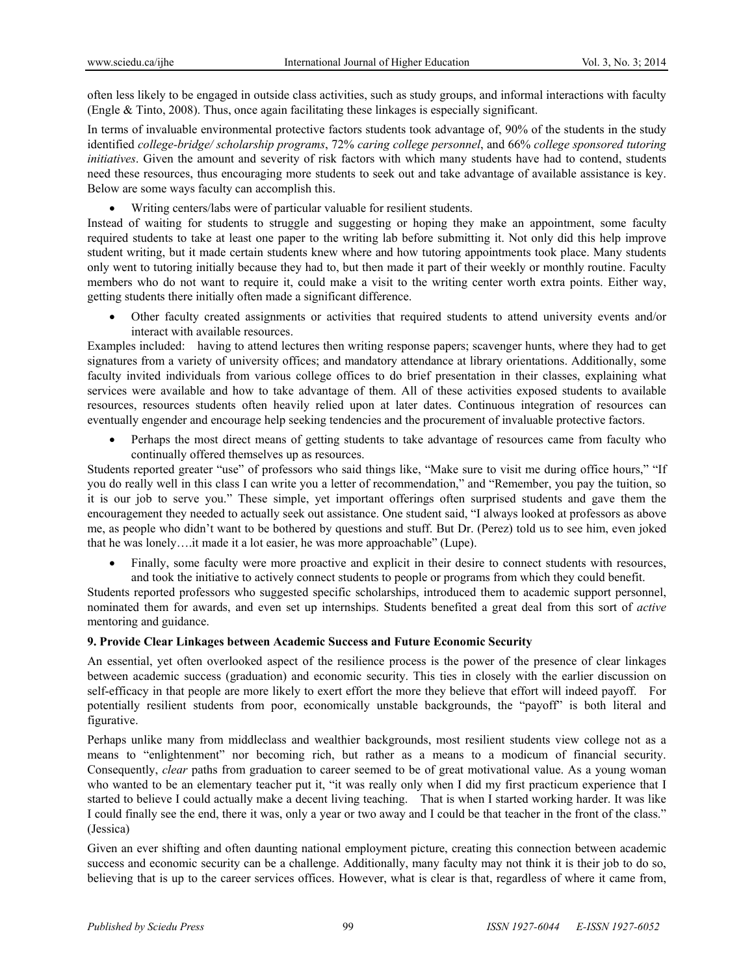often less likely to be engaged in outside class activities, such as study groups, and informal interactions with faculty (Engle & Tinto, 2008). Thus, once again facilitating these linkages is especially significant.

In terms of invaluable environmental protective factors students took advantage of, 90% of the students in the study identified *college-bridge/ scholarship programs*, 72% *caring college personnel*, and 66% *college sponsored tutoring initiatives*. Given the amount and severity of risk factors with which many students have had to contend, students need these resources, thus encouraging more students to seek out and take advantage of available assistance is key. Below are some ways faculty can accomplish this.

Writing centers/labs were of particular valuable for resilient students.

Instead of waiting for students to struggle and suggesting or hoping they make an appointment, some faculty required students to take at least one paper to the writing lab before submitting it. Not only did this help improve student writing, but it made certain students knew where and how tutoring appointments took place. Many students only went to tutoring initially because they had to, but then made it part of their weekly or monthly routine. Faculty members who do not want to require it, could make a visit to the writing center worth extra points. Either way, getting students there initially often made a significant difference.

 Other faculty created assignments or activities that required students to attend university events and/or interact with available resources.

Examples included: having to attend lectures then writing response papers; scavenger hunts, where they had to get signatures from a variety of university offices; and mandatory attendance at library orientations. Additionally, some faculty invited individuals from various college offices to do brief presentation in their classes, explaining what services were available and how to take advantage of them. All of these activities exposed students to available resources, resources students often heavily relied upon at later dates. Continuous integration of resources can eventually engender and encourage help seeking tendencies and the procurement of invaluable protective factors.

 Perhaps the most direct means of getting students to take advantage of resources came from faculty who continually offered themselves up as resources.

Students reported greater "use" of professors who said things like, "Make sure to visit me during office hours," "If you do really well in this class I can write you a letter of recommendation," and "Remember, you pay the tuition, so it is our job to serve you." These simple, yet important offerings often surprised students and gave them the encouragement they needed to actually seek out assistance. One student said, "I always looked at professors as above me, as people who didn't want to be bothered by questions and stuff. But Dr. (Perez) told us to see him, even joked that he was lonely….it made it a lot easier, he was more approachable" (Lupe).

 Finally, some faculty were more proactive and explicit in their desire to connect students with resources, and took the initiative to actively connect students to people or programs from which they could benefit.

Students reported professors who suggested specific scholarships, introduced them to academic support personnel, nominated them for awards, and even set up internships. Students benefited a great deal from this sort of *active* mentoring and guidance.

# **9. Provide Clear Linkages between Academic Success and Future Economic Security**

An essential, yet often overlooked aspect of the resilience process is the power of the presence of clear linkages between academic success (graduation) and economic security. This ties in closely with the earlier discussion on self-efficacy in that people are more likely to exert effort the more they believe that effort will indeed payoff. For potentially resilient students from poor, economically unstable backgrounds, the "payoff" is both literal and figurative.

Perhaps unlike many from middleclass and wealthier backgrounds, most resilient students view college not as a means to "enlightenment" nor becoming rich, but rather as a means to a modicum of financial security. Consequently, *clear* paths from graduation to career seemed to be of great motivational value. As a young woman who wanted to be an elementary teacher put it, "it was really only when I did my first practicum experience that I started to believe I could actually make a decent living teaching. That is when I started working harder. It was like I could finally see the end, there it was, only a year or two away and I could be that teacher in the front of the class." (Jessica)

Given an ever shifting and often daunting national employment picture, creating this connection between academic success and economic security can be a challenge. Additionally, many faculty may not think it is their job to do so, believing that is up to the career services offices. However, what is clear is that, regardless of where it came from,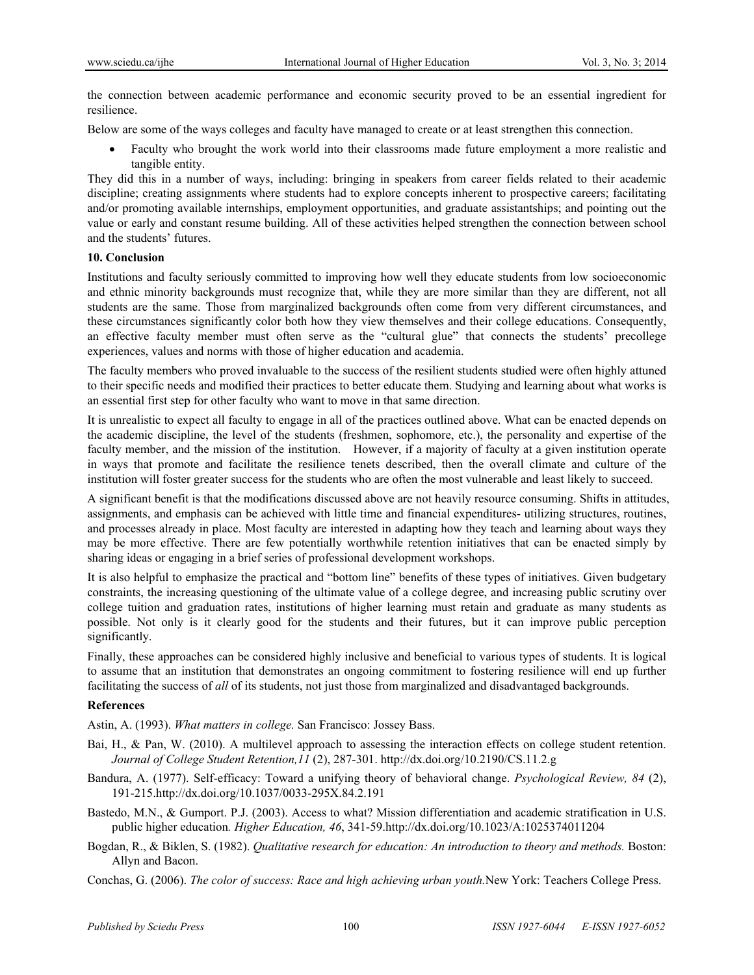the connection between academic performance and economic security proved to be an essential ingredient for resilience.

Below are some of the ways colleges and faculty have managed to create or at least strengthen this connection.

 Faculty who brought the work world into their classrooms made future employment a more realistic and tangible entity.

They did this in a number of ways, including: bringing in speakers from career fields related to their academic discipline; creating assignments where students had to explore concepts inherent to prospective careers; facilitating and/or promoting available internships, employment opportunities, and graduate assistantships; and pointing out the value or early and constant resume building. All of these activities helped strengthen the connection between school and the students' futures.

#### **10. Conclusion**

Institutions and faculty seriously committed to improving how well they educate students from low socioeconomic and ethnic minority backgrounds must recognize that, while they are more similar than they are different, not all students are the same. Those from marginalized backgrounds often come from very different circumstances, and these circumstances significantly color both how they view themselves and their college educations. Consequently, an effective faculty member must often serve as the "cultural glue" that connects the students' precollege experiences, values and norms with those of higher education and academia.

The faculty members who proved invaluable to the success of the resilient students studied were often highly attuned to their specific needs and modified their practices to better educate them. Studying and learning about what works is an essential first step for other faculty who want to move in that same direction.

It is unrealistic to expect all faculty to engage in all of the practices outlined above. What can be enacted depends on the academic discipline, the level of the students (freshmen, sophomore, etc.), the personality and expertise of the faculty member, and the mission of the institution. However, if a majority of faculty at a given institution operate in ways that promote and facilitate the resilience tenets described, then the overall climate and culture of the institution will foster greater success for the students who are often the most vulnerable and least likely to succeed.

A significant benefit is that the modifications discussed above are not heavily resource consuming. Shifts in attitudes, assignments, and emphasis can be achieved with little time and financial expenditures- utilizing structures, routines, and processes already in place. Most faculty are interested in adapting how they teach and learning about ways they may be more effective. There are few potentially worthwhile retention initiatives that can be enacted simply by sharing ideas or engaging in a brief series of professional development workshops.

It is also helpful to emphasize the practical and "bottom line" benefits of these types of initiatives. Given budgetary constraints, the increasing questioning of the ultimate value of a college degree, and increasing public scrutiny over college tuition and graduation rates, institutions of higher learning must retain and graduate as many students as possible. Not only is it clearly good for the students and their futures, but it can improve public perception significantly.

Finally, these approaches can be considered highly inclusive and beneficial to various types of students. It is logical to assume that an institution that demonstrates an ongoing commitment to fostering resilience will end up further facilitating the success of *all* of its students, not just those from marginalized and disadvantaged backgrounds.

#### **References**

Astin, A. (1993). *What matters in college.* San Francisco: Jossey Bass.

- Bai, H., & Pan, W. (2010). A multilevel approach to assessing the interaction effects on college student retention. *Journal of College Student Retention,11* (2), 287-301. http://dx.doi.org/10.2190/CS.11.2.g
- Bandura, A. (1977). Self-efficacy: Toward a unifying theory of behavioral change. *Psychological Review, 84* (2), 191-215.http://dx.doi.org/10.1037/0033-295X.84.2.191
- Bastedo, M.N., & Gumport. P.J. (2003). Access to what? Mission differentiation and academic stratification in U.S. public higher education*. Higher Education, 46*, 341-59.http://dx.doi.org/10.1023/A:1025374011204
- Bogdan, R., & Biklen, S. (1982). *Qualitative research for education: An introduction to theory and methods.* Boston: Allyn and Bacon.
- Conchas, G. (2006). *The color of success: Race and high achieving urban youth.*New York: Teachers College Press.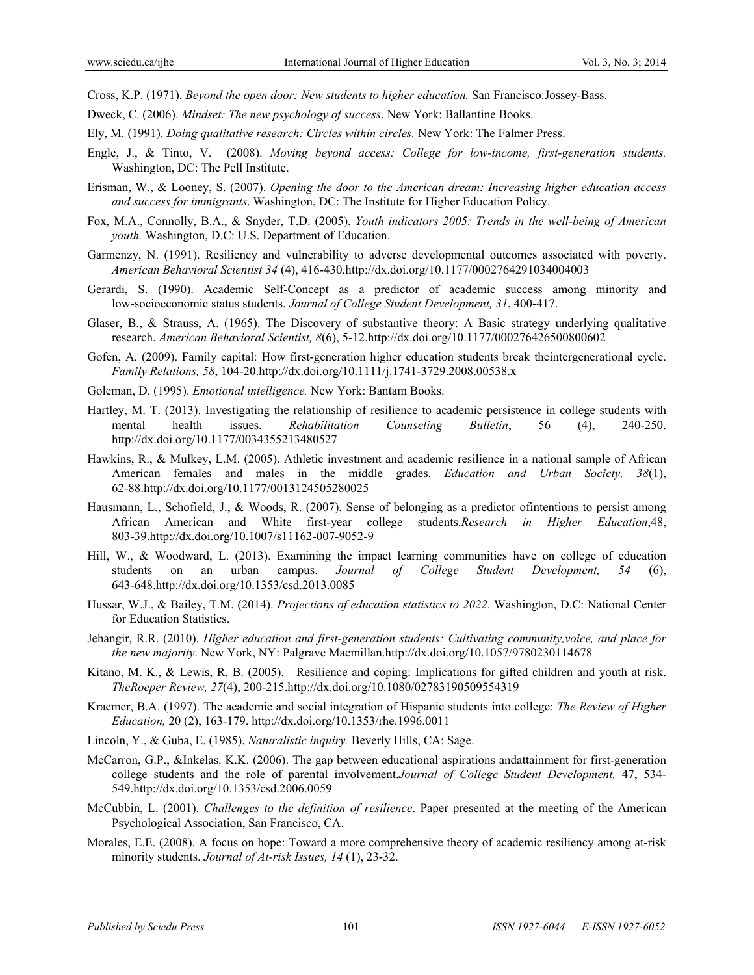Cross, K.P. (1971). *Beyond the open door: New students to higher education.* San Francisco:Jossey-Bass.

- Dweck, C. (2006). *Mindset: The new psychology of success*. New York: Ballantine Books.
- Ely, M. (1991). *Doing qualitative research: Circles within circles.* New York: The Falmer Press.
- Engle, J., & Tinto, V. (2008). *Moving beyond access: College for low-income, first-generation students.*  Washington, DC: The Pell Institute.
- Erisman, W., & Looney, S. (2007). *Opening the door to the American dream: Increasing higher education access and success for immigrants*. Washington, DC: The Institute for Higher Education Policy.
- Fox, M.A., Connolly, B.A., & Snyder, T.D. (2005). *Youth indicators 2005: Trends in the well-being of American youth.* Washington, D.C: U.S. Department of Education.
- Garmenzy, N. (1991). Resiliency and vulnerability to adverse developmental outcomes associated with poverty. *American Behavioral Scientist 34* (4), 416-430.http://dx.doi.org/10.1177/0002764291034004003
- Gerardi, S. (1990). Academic Self-Concept as a predictor of academic success among minority and low-socioeconomic status students. *Journal of College Student Development, 31*, 400-417.
- Glaser, B., & Strauss, A. (1965). The Discovery of substantive theory: A Basic strategy underlying qualitative research. *American Behavioral Scientist, 8*(6), 5-12.http://dx.doi.org/10.1177/000276426500800602
- Gofen, A. (2009). Family capital: How first-generation higher education students break theintergenerational cycle. *Family Relations, 58*, 104-20.http://dx.doi.org/10.1111/j.1741-3729.2008.00538.x
- Goleman, D. (1995). *Emotional intelligence.* New York: Bantam Books.
- Hartley, M. T. (2013). Investigating the relationship of resilience to academic persistence in college students with mental health issues. *Rehabilitation Counseling Bulletin*, 56 (4), 240-250. http://dx.doi.org/10.1177/0034355213480527
- Hawkins, R., & Mulkey, L.M. (2005). Athletic investment and academic resilience in a national sample of African American females and males in the middle grades. *Education and Urban Society, 38*(1), 62-88.http://dx.doi.org/10.1177/0013124505280025
- Hausmann, L., Schofield, J., & Woods, R. (2007). Sense of belonging as a predictor ofintentions to persist among African American and White first-year college students.*Research in Higher Education*,48, 803-39.http://dx.doi.org/10.1007/s11162-007-9052-9
- Hill, W., & Woodward, L. (2013). Examining the impact learning communities have on college of education students on an urban campus. *Journal of College Student Development, 54* (6), 643-648.http://dx.doi.org/10.1353/csd.2013.0085
- Hussar, W.J., & Bailey, T.M. (2014). *Projections of education statistics to 2022*. Washington, D.C: National Center for Education Statistics.
- Jehangir, R.R. (2010). *Higher education and first-generation students: Cultivating community,voice, and place for the new majority*. New York, NY: Palgrave Macmillan.http://dx.doi.org/10.1057/9780230114678
- Kitano, M. K., & Lewis, R. B. (2005). Resilience and coping: Implications for gifted children and youth at risk. *TheRoeper Review, 27*(4), 200-215.http://dx.doi.org/10.1080/02783190509554319
- Kraemer, B.A. (1997). The academic and social integration of Hispanic students into college: *The Review of Higher Education,* 20 (2), 163-179. http://dx.doi.org/10.1353/rhe.1996.0011
- Lincoln, Y., & Guba, E. (1985). *Naturalistic inquiry.* Beverly Hills, CA: Sage.
- McCarron, G.P., &Inkelas. K.K. (2006). The gap between educational aspirations andattainment for first-generation college students and the role of parental involvement.*Journal of College Student Development,* 47, 534- 549.http://dx.doi.org/10.1353/csd.2006.0059
- McCubbin, L. (2001). *Challenges to the definition of resilience*. Paper presented at the meeting of the American Psychological Association, San Francisco, CA.
- Morales, E.E. (2008). A focus on hope: Toward a more comprehensive theory of academic resiliency among at-risk minority students. *Journal of At-risk Issues, 14* (1), 23-32.